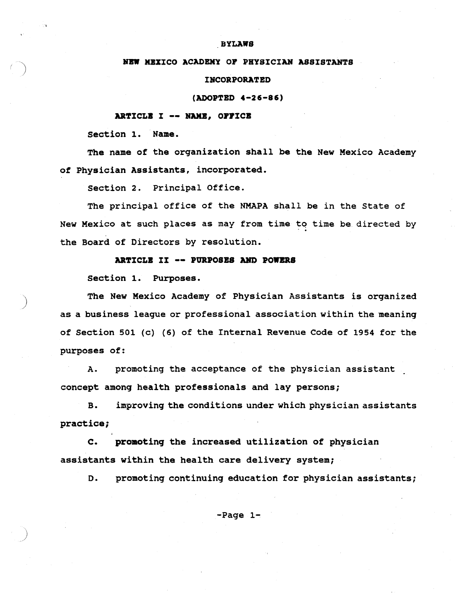#### **BYLAWS**

#### NEW MEXICO ACADEMY OP PHYSICIAN ASSISTANTS

#### INCORPORATED

(ADOPTED 4-26-86)

# ARTICLE I -- NAME, OFFICE

section 1. Name.

The name of the organization shall be the New Mexico Academy of Physician Assistants, incorporated.

section 2. Principal Office.

The principal office of the NMAPA shall be in the state of New Mexico at such places as may from time to time be directed by the Board of Directors by resolution.

#### ARTICLB II -- PURPOSES AND POWERS

section 1. Purposes.

)

The New Mexico Academy of Physician Assistants is organized as a business league or professional association within the meaning of section 501 (c) (6) of the Internal Revenue Code of 1954 for the purposes of:

A. promoting the acceptance of the physician assistant concept among health professionals and lay persons;

B. improving the conditions under which physician assistants practice;

c. promotinq the increased utilization of physician assistants within the health care delivery system;

D. promoting continuing education for physician assistants;

-Page 1~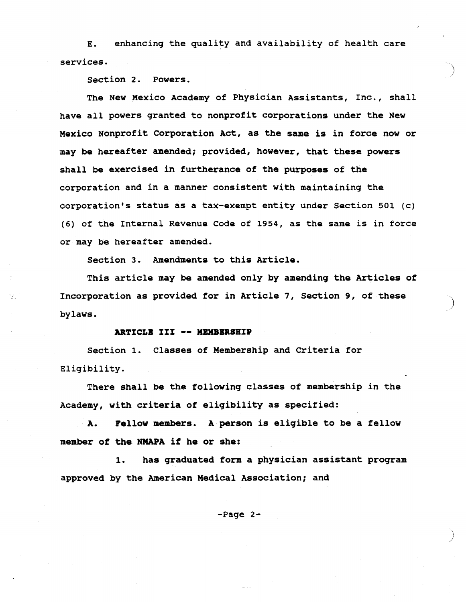E. enhancing the quality and availability of health care services.

section 2. Powers.

The New Mexico Academy of Physician Assistants, Inc., shall have all powers granted to nonprofit corporations under the New Mexico Nonprofit Corporation Act, as the same is in force now or may be hereafter amended; provided, however, that these powers shall be exercised in furtherance of the purposes of the corporation and in a manner consistent with maintaining the corporation's status as a tax-exempt entity under Section 501 (c) (6) of the Internal Revenue Code of 1954, as the same is in force or may be hereafter amended.

Section 3. Amendments to this Article.

This article may be amended only by amending the Articles of Incorporation as provided for in Article 7, section 9, of these bylaws.

)

)

### ARTICLE III -- MEMBERSHIP

section 1. Classes of Membership and criteria for Eligibility.

There shall be the following classes of membership in the Academy, with criteria of eligibility as specified:

A. Fellow members. A person is eligible to be a fellow member of the NMAPA if he or she:

1. has graduated form a physician assistant program approved by the American Medical Association; and

-Page 2-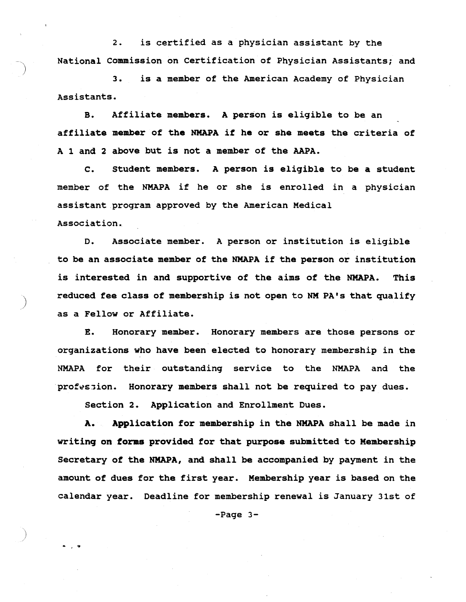2. is certified as a physician assistant by the National Commission on certification of Physician Assistants; and

3. is a member of the American Academy of Physician Assistants.

B. Affiliate members. A person is eligible to be an affiliate member of the NMAPA if he or she meets the criteria of A 1 and <sup>2</sup> above but is not <sup>a</sup> member of the AAPA.

C. Student members. A person is eligible to be a student member of the NMAPA if he or she is enrolled in <sup>a</sup> physician assistant program approved by the American Medical Association.

D. Associate member. <sup>A</sup> person or institution is eligible to be an associate member of the NMAPA if the person or institution is interested in and supportive of the aims of the NMAPA. This reduced fee class of membership is not open to NM PA's that qualify as a Fellow or Affiliate.

E. Honorary member. Honorary members are those persons or organizations who have been elected to honorary membership in the NMAPA for their outstanding service to the NMAPA and the prof~sjion. **Honorary members shall not be required to pay dues.**

section 2. Application and Enrollment Dues.

)

• , 9

A. Application for membership in the NMAPA shall be made in writinq on forms provided for that purpose submitted to Membership secretary of the NMAPA, and shall be accompanied by payment in the amount of dues for the first year. Membership year is based on the calendar year. Deadline for membership renewal is January 31st of

-Page 3-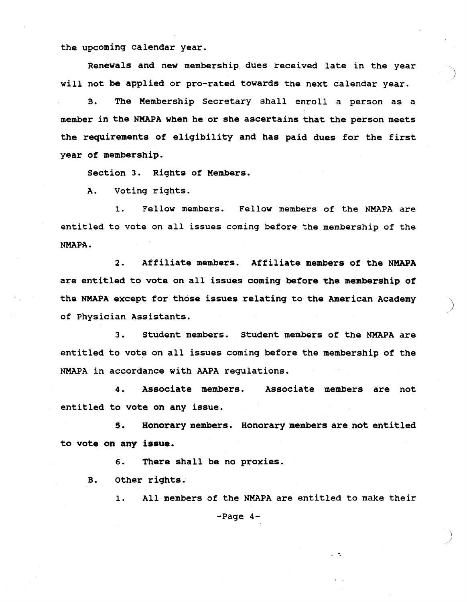the upcoming calendar year.

Renewals and new membership dues received late in the year will not be applied or pro-rated towards the next calendar year.

B. The Membership Secretary shall enroll a person as a member in the NMAPA when he or she ascertains that the person meets the requirements of eligibility and has paid dues for the first year of membership.

section 3. Rights of Members.

A. voting rights.

1. Fellow members. Fellow members of the NMAPA are entitled to vote on all issues coming before the membership of the NMAPA.

2. Affiliate members. Affiliate members of the NMAPA are entitled to vote on all issues coming before the membership of the NMAPA except for those issues relating to the American Academy of Physician Assistants.

3. Student members. Student members of the NMAPA are entitled to vote on all issues coming before the membership of the NMAPA in accordance with AAPA regulations.

4 • Associate members. Associate members are not entitled to vote on any issue.

S. Honorary members. Honorary members are not entitled to vote on any issue.

6. There shall be no proxies.

B. other rights.

1. All members of the NMAPA are entitled to make their -Page 4-

-.

)<br>)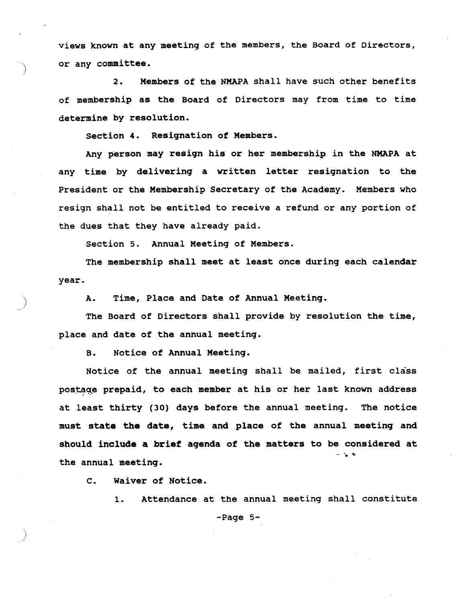views known at any meeting of the members, the Board of Directors, or any committee.

2. Members of the NMAPA shall have such other benefits of membership as the Board of Directors may from time to time determine by resolution.

section 4. Resignation of Members.

Any person may resign his or her membership in the NMAPA at any time by delivering <sup>a</sup> written letter resignation to the President or the Membership Secretary of the Academy. Members who resign shall not be entitled to receive <sup>a</sup> refund or any portion of the dues that they have already paid.

section 5. Annual Meeting of Members.

The membership shall meet at least once during each calendar year.

) A. Time, Place and Date of Annual Meeting.

The Board of Directors shall provide by resolution the time, place and date of the annual meeting.

B. Notice of Annual Meeting.

Notice of the annual meeting shall be mailed, first class postage prepaid, to each member at his or her last known address at least thirty (30) days before the annual meeting. The notice must state the date, time and place of the annual meeting and should include <sup>a</sup> brief agenda of the matters to be considered at the annual meeting.

c. Waiver of Notice.

1. Attendance at the annual meeting shall constitute

-Page 5-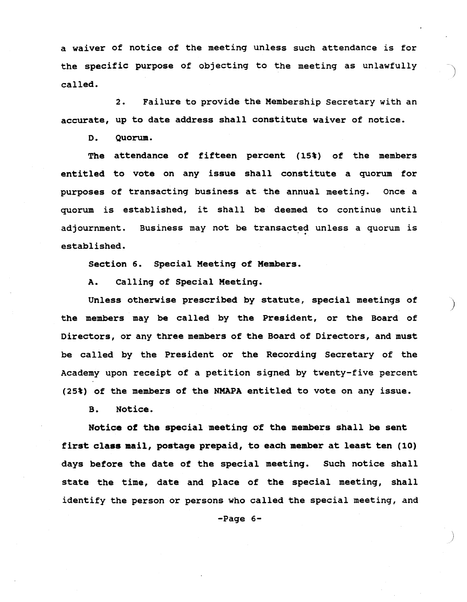<sup>a</sup> waiver of notice of the meeting unless such attendance is for the specific purpose of objecting to the meeting as unlawfully called.

2. Failure to provide the Membership Secretary with an accurate, up to date address shall constitute waiver of notice.

D. Quorum.

The attendance of fifteen percent (15%) of the members entitled to vote on any issue shall constitute <sup>a</sup> quorum for purposes of transacting business at the annual meeting. Once <sup>a</sup> quorum is established, it shall be deemed to continue until adjournment. Business may not be transacted unless a quorum is established.

Section 6. special Meeting of Members.

A. Calling of Special Meeting.

Unless otherwise prescribed by statute, special meetings of the members may be called by the President, or the Board of Directors, or any three members of the Board of Directors, and must be called by the President or the Recording Secretary of the Academy upon receipt of <sup>a</sup> petition signed by twenty-five percent (25%) of the members of the NMAPA entitled to vote on any issue.

B. Notice.

Notice of the special meeting of the members shall be sent first class mail, postage prepaid, to each member at least ten (10) days before the date of the special meeting. Such notice shall state the time, date and place of the special meeting, shall identify the person or persons who called the special meeting, and

-Page 6-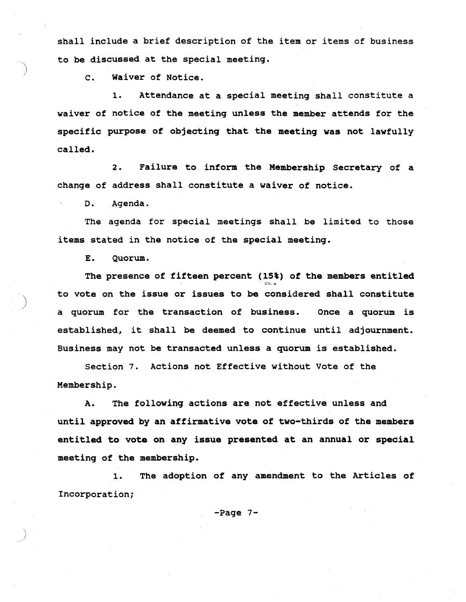shall include a brief description of the item or items of business to be discussed at the special meeting.

c. waiver of Notice.

1. Attendance at <sup>a</sup> special meeting shall constitute <sup>a</sup> waiver of notice of the meeting unless the member attends for the specific purpose of objecting that the meeting was not lawfully called.

2. Failure to inform the Membership Secretary of a change of address shall constitute a waiver of notice.

D. Agenda.

The agenda for special meetings shall be limited to those items stated in the notice of the special meeting.

E. Quorum.

The presence of fifteen percent  $(15*)$  of the members entitled to vote on the issue or issues to be considered shall constitute ) <sup>a</sup> quorum for the transaction of business. Once <sup>a</sup> quorum is established, it shall be deemed to continue until adjournment. Business may not be transacted unless <sup>a</sup> quorum is established.

Section 7. Actions not Effective without Vote of the Membership.

A. The following actions are not effective unless and until approved by an affirmative vote of two-thirds of the members entitled to vote on any issue presented at an annual or special meeting of the membership.

1. The adoption of any amendment to the Articles of Incorporation;

-Page 7-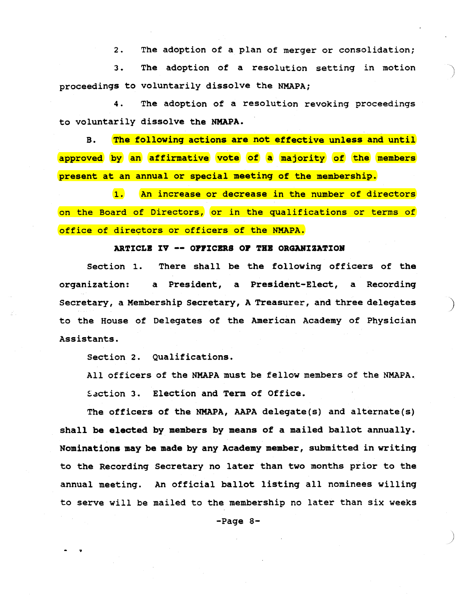2. The adoption of a plan of merger or consolidation;

3. The adoption of a resolution setting in motion proceedings to voluntarily dissolve the NMAPA;

4. The adoption of a resolution revoking proceedings to voluntarily dissolve the NMAPA.

B. The following actions are not effective unless and until approved by an affirmative vote of a majority of the members present at an annual or special meeting of the membership.

1. An increase or decrease in the number of directors on the Board of Directors, or in the qualifications or terms of office of directors or officers of the NMAPA.

## ARTICLE IV -- OFFICERS OF THE ORGANIZATION

section 1. There shall be the following officers of the organization: a President, a President-Elect, a Recording Secretary, a Membership Secretary, A Treasurer, and three delegates ) to the House of Delegates of the American Academy of Physician Assistants.

Section 2. Qualifications.

All officers of the NMAPA must be fellow members of the NMAPA. Saction 3. Election and Term of Office.

The officers of the NMAPA, AAPA delegate(s) and alternate(s) shall be elected by members by means of a mailed ballot annually. Nominations may be made by any Academy member, submitted in writing to the Recording secretary no later than two months prior to the annual meeting. An official ballot listing all nominees willing to serve will be mailed to the membership no later than six weeks

-Page 8-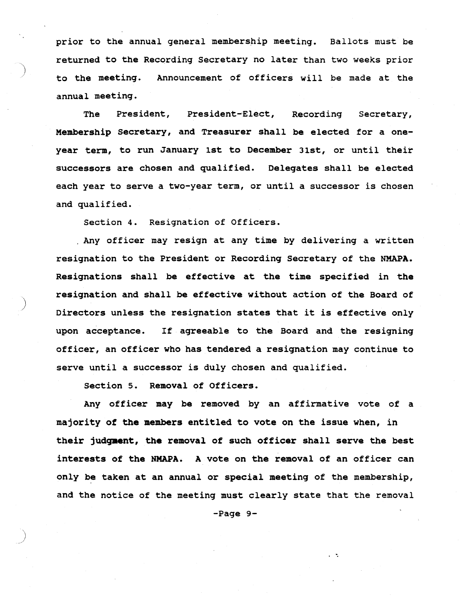prior to the annual general membership meeting. Ballots must be returned to the Recording Secretary no later than two weeks prior to the meeting. Announcement of officers will be made at the annual meeting.

The President, President-Elect, Recording Secretary, Membership Secretary, and Treasurer shall be elected for a oneyear term, to run January 1st to December 31st, or until their successors are chosen and qualified. Delegates shall be elected each year to serve <sup>a</sup> two-year term, or until <sup>a</sup> successor *is* chosen and qualified.

Section 4. Resignation of Officers.

Any officer may resign at any time by delivering <sup>a</sup> written resignation to the President or Recording Secretary of the NMAPA. Resignations shall be effective at the time specified in the resignation and shall be effective without action of the Board of Directors unless the resignation states that it is effective only upon acceptance. If agreeable to the Board and the resigning officer, an officer who has tendered a resignation may continue to serve until <sup>a</sup> successor *is* duly chosen and qualified.

Section 5. Removal of Officers.

)

Any officer may be removed by an affirmative vote of a majority of the members entitled to vote on the issue when, in their judgment, the removal of such officer shall serve the best interests of the NMAPA. <sup>A</sup> vote on the removal of an officer can only be taken at an annual or special meeting of the membership, and the notice of the meeting must clearly state that the removal

-Page 9-

'.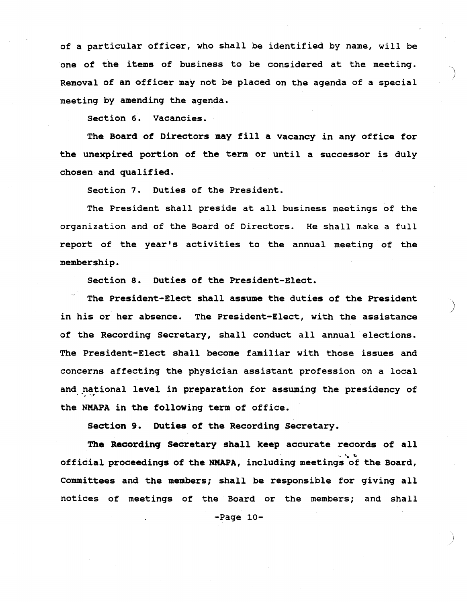of a particular officer, who shall be identified by name, will be one of the items of business to be considered at the meeting. Removal of an officer may not be placed on the agenda of <sup>a</sup> special meeting by amending the agenda.

section 6. Vacancies.

The Board of Directors may fill <sup>a</sup> vacancy in any office for the unexpired portion of the term or until a successor is duly chosen and qualified.

Section 7. Duties of the President.

The President shall preside at all business meetings of the organization and of the Board of Directors. He shall make <sup>a</sup> full report of the year's activities to the annual meeting of the membership.

Section 8. Duties of the President-Elect.

The President-Elect shall assume the duties of the President in his or her absence. The President-Elect, with the assistance of the Recording Secretary, shall conduct all annual elections. The President-Elect shall become familiar with those issues and concerns affecting the physician assistant profession on <sup>a</sup> local and national level in preparation for assuming the presidency of the NMAPA in the following term of office.

)

Section 9. Duties of the Recording Secretary.

The Recording Secretary shall keep accurate records of all - ..... official proceedings of the NMAPA, including meetings of the Board, Committees and the members; shall be responsible for giving all notices of meetings of the Board or the members; and shall

-Page 10-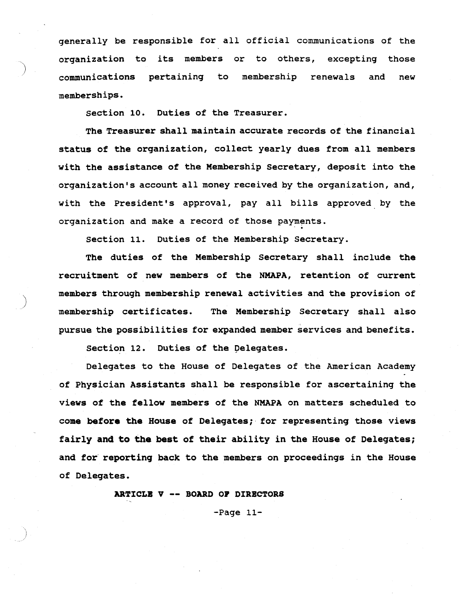generally be responsible for all official communications of the organization to its members or to others, excepting those communications pertaining to membership renewals and new memberships.

section 10. Duties of the Treasurer.

The Treasurer shall maintain accurate records of the financial status of the organization, collect yearly dues from all members with the assistance of the Membership Secretary, deposit into the organization's account all money received by the organization, and, with the President's approval, pay all bills approved by the organization and make a record of those payments.

section 11. Duties of the Membership Secretary.

The duties of the Membership secretary shall include the recruitment of new members of the NMAPA, retention of current members through membership renewal activities and the provision of membership certificates. The Membership Secretary shall also pursue the possibilities for expanded member services and benefits.

section 12. Duties of the pelegates.

Delegates to the House of Delegates of the American Academy of Physician Assistants shall be responsible for ascertaining the views of the fellow members of the NMAPA on matters scheduled to come before the House of Delegates; for representing those views fairly and to the best of their ability in the House of Delegates; and for' reporting back to the members on proceedings in the House of Delegates.

ARTICLB <sup>V</sup> -- BOARD OP DIRBCTORS

-Page 11-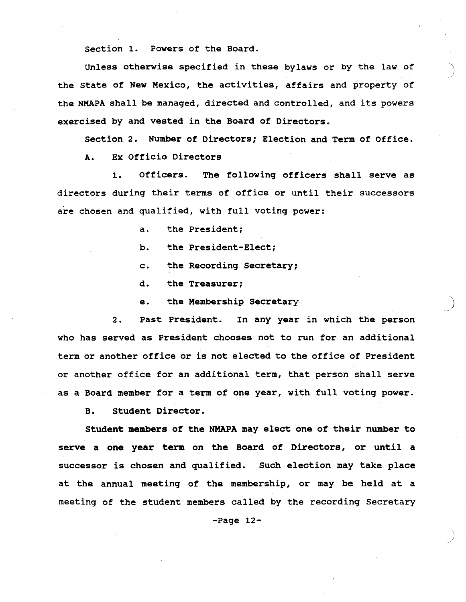section 1. Powers of the Board.

Unless otherwise specified in these bylaws or by the law of the state of New Mexico, the activities, affairs and property of the NMAPA shall be managed, directed and controlled, and its powers exercised by and vested in the Board of Directors.

section 2. Number of Directors; Election and Term of Office.

A. Ex Officio Directors

1. Officers. The following officers shall serve as directors during their terms of office or until their successors are chosen and qualified, with full voting power:

- a. the President;
- b. the President-Elect;
- c. the Recording Secretary;
- d. the Treasurer;
- e. the Membership Secretary

2. Past President. In any year in which the person who has served as President chooses not to run for an additional term or another office or is not elected to the office of President or another office for an additional term, that person shall serve as <sup>a</sup> Board member for <sup>a</sup> term of one year, with full voting power.

B. Student Director.

Student members of the NMAPA may elect one of their number to serve <sup>a</sup> one year term on the Board of Directors, or until <sup>a</sup> successor is chosen and qualified. Such election may take place at the annual meeting of the membership, or may be held at <sup>a</sup> meeting of the student members called by the recording Secretary

-Page 12-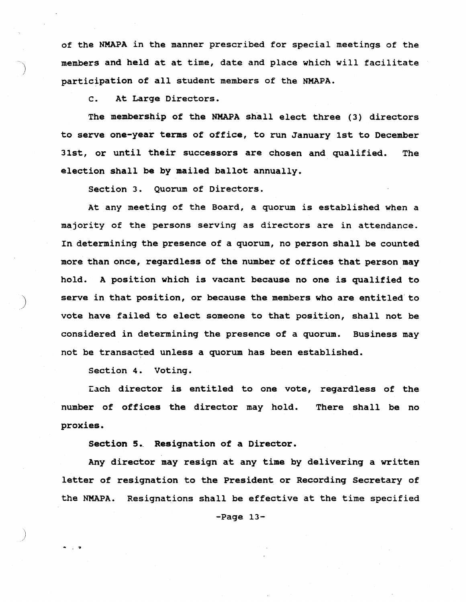of the NMAPA in the manner prescribed for special meetings of the members and held at at time, date and place which will facilitate participation of all student members of the NMAPA.

c. At Large Directors.

The membership of the NMAPA shall elect three (3) directors to serve one-year terms of office, to run January 1st to December 31st, or until their successors are chosen and qualified. The election shall be by mailed ballot annually.

section 3. Quorum of Directors.

At any meeting of the Board, a quorum is established when a majority of the persons serving as directors are in attendance. In determining the presence of a quorum, no person shall be counted more than once, regardless of the number of offices that person may hold. <sup>A</sup> position which is vacant because no one is qualified to serve in that position, or because the members who are entitled to vote have failed to elect someone to that position, shall not be considered in determining the presence of a quorum. Business may not be transacted unless a quorum has been established.

Section 4. Voting.

- .

Each director is entitled to one vote, regardless of the number of offices the director may hold. There shall be no proxies.

Section 5. Resignation of a Director.

Any director may resign at any time by delivering a written letter of resignation to the President or Recording Secretary of the NMAPA. Resignations shall be effective at the time specified

 $-Page 13-$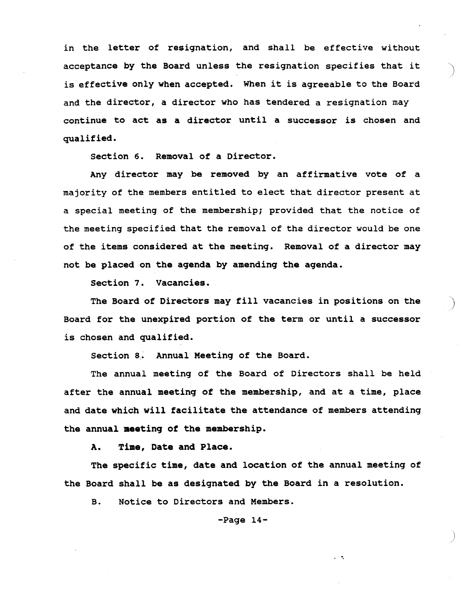in the letter of resignation, and shall be effective without in the letter of resignation, and shall be effective without<br>acceptance by the Board unless the resignation specifies that it is effective only when accepted. When it is agreeable to the Board and the director, a director who has tendered a resignation may continue to act as a director until a successor is chosen and qualified.

section 6. Removal of a Director.

Any director may be removed by an affirmative vote of a majority of the members entitled to elect that director present at a special meeting of the membership; provided that the notice of the meeting specified that the removal of tha director would be one of the items considered at the meeting. Removal of a director may not be placed on the agenda by amending the agenda.

section 7. Vacancies.

The Board of Directors may fill vacancies in positions on the Board for the unexpired portion of the term or until a successor is chosen and qualified.

Section 8. Annual Meeting of the Board.

The annual meeting of the Board of Directors shall be held after the annual meeting of the membership, and at <sup>a</sup> time, place and date which will facilitate the attendance of members attending the annual meeting of the membership.

A. Time, Date and Place.

The specific time, date and location of the annual meeting of the Board shall be as designated by the Board in a resolution.

B. Notice to Directors and Members.

 $-Page 14-$ 

..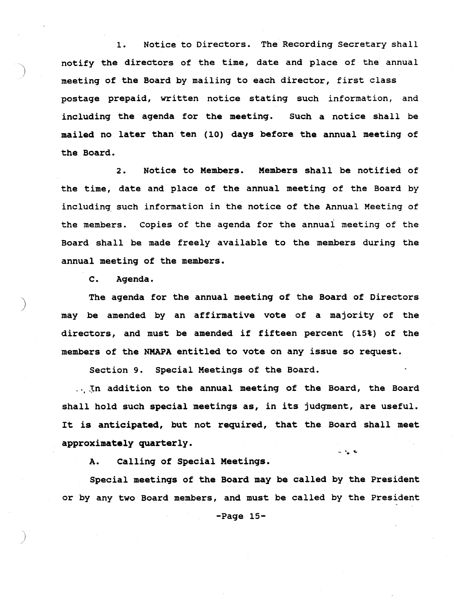1. Notice to Directors. The Recording Secretary shall notify the directors of the time, date and place of the annual meeting of the Board by mailing to each director, first class postage prepaid, written notice stating such information, and including the agenda for the meeting. Such a notice shall be mailed no later than ten (10) days before the annual meeting of the Board.

2. Notice to Members. Members shall be notified of the time, date and place of the annual meeting of the Board by including. such information in the notice of the Annual Meeting of the members. Copies of the agenda for the annual meeting of the Board shall be made freely available to the members during the annual meeting of the members.

C. Agenda.

)

The agenda for the annual meeting of the Board of Directors may be amended by an affirmative vote of a majority of the directors, and must be amended if fifteen percent (15%) of the members of the NMAPA entitled to vote on any issue so request.

Section 9. Special Meetings of the Board.

... In addition to the annual meeting of the Board, the Board shall hold such special meetings as, in its judgment, are useful. It is anticipated, but not required, that the Board shall meet approximately quarterly.

**- "'. It"**

A. Calling of Special Meetings.

Special meetings of the Board may be called by the President or by any two Board members, and must be called by the President

-Page 15-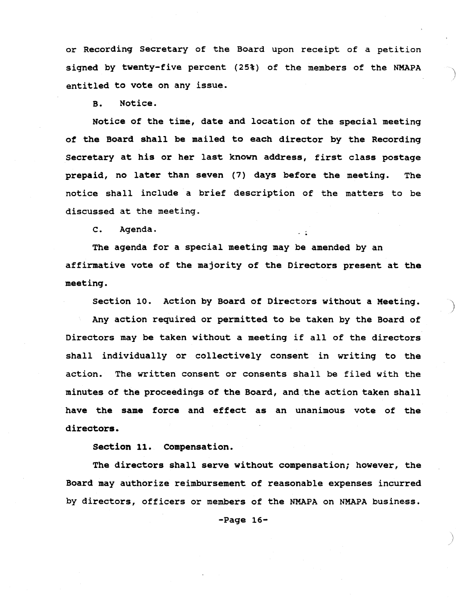or Recording Secretary of the Board upon receipt of a petition signed by twenty-five percent (25%) of the members of the NMAPA entitled to vote on any issue.

B. Notice.

Notice of the time, date and location of the special meeting of the Board shall be mailed to each director by the Recording Secretary at his or her last known address, first class postage prepaid, no later than seven (7) days before the meeting. The notice shall include a brief description of the matters to be discussed at the meeting.

c. Agenda.

The agenda for a special meeting may be amended by an affirmative vote of the majority of the Directors present at the meeting.

Section 10. Action by Board of Directors without a Meeting.

)

Any action required or permitted to be taken by the Board of Directors may be taken without <sup>a</sup> meeting if all of the directors shall individually or collectively consent in writing to the action. The written consent or consents shall be filed with the minutes of the proceedings of the Board, and the action taken shall have the same force and effect as an unanimous vote of the directors.

Section 11. Compensation.

The directors shall serve without compensation; however, the Board may authorize reimbursement of reasonable expenses incurred by directors, officers or members of the NMAPA on NMAPA business.

-Page 16-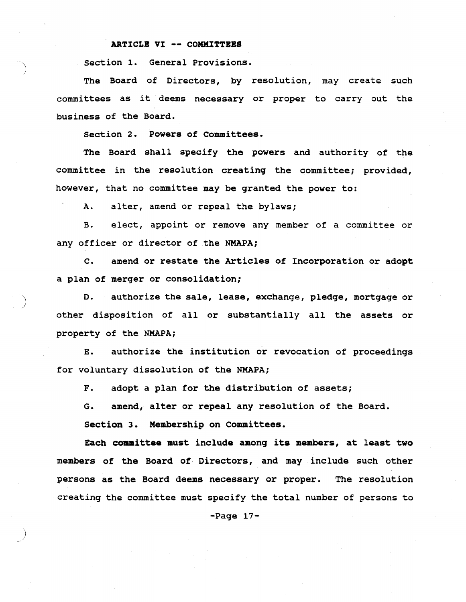#### ARTICLE VI -- COMMITTEES

section 1. General Provisions.

The Board of Directors, by resolution, may create such committees as it deems necessary or proper to carry out the business of the Board.

section 2. Powers of Committees.

The Board shall specify the powers and authority of the committee in the resolution creating the committee; provided, however, that no committee may be granted the power to:

A. alter, amend or repeal the bylaws;

)

)

B. elect, appoint or remove any member of <sup>a</sup> committee or any officer or director of the NMAPA;

C. amend or restate the Articles of Incorporation or adopt a plan of merger or consolidation;

D. authorize the sale, lease, exchange, pledge, mortgage or other disposition of all or substantially all the assets or property of the NMAPA;

E. authorize the institution or revocation of proceedings for voluntary dissolution of the NMAPA;

F. adopt <sup>a</sup> plan for the distribution of assets;

G. amend, alter or repeal any resolution of the Board.

Section 3. Membership on committees.

Each committee must include among its members, at least two members of the Board of Directors, and may include such other persons as the Board deems necessary or proper. The resolution creating the committee must specify the total number of persons to

 $-Page 17-$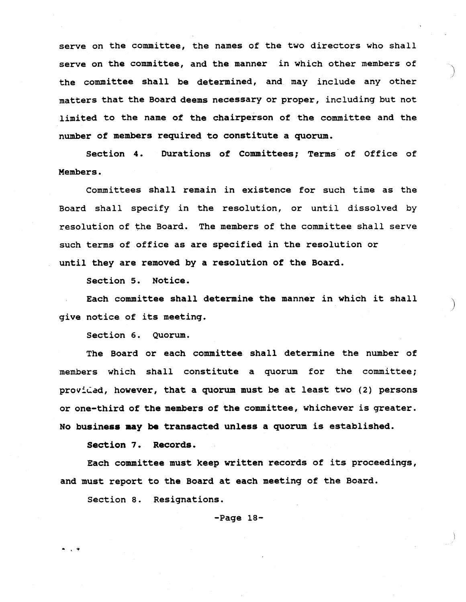serve on the committee, the names of the two directors who shall serve on the committee, and the manner in which other members of the committee shall be determined, and may include any other matters that the Board deems necessary or proper, including but not limited to the name of the chairperson of the committee and the number of members required to constitute a quorum.

section 4. Durations of Committees; Terms of Office of Members.

Committees shall remain in existence for such time as the Board shall specify in the resolution, or until dissolved by resolution of the Board. The members of the committee shall serve such terms of office as are specified in the resolution or until they are removed by a resolution of the Board.

section 5. Notice.

Each committee shall determine the manner in which it shall give notice of its meeting.

)

section 6. Quorum.

The Board or each committee shall determine the number of members which shall constitute a quorum for the committee; provided, however, that a quorum must be at least two  $(2)$  persons or one-third of the members of the committee, whichever is greater. No business may be transacted unless <sup>a</sup> quorum is established.

section 7. Records.

. ,

Each committee must keep written records of its proceedings, and must report to the Board at each meeting of the Board.

section 8. Resignations.

 $-Page 18-$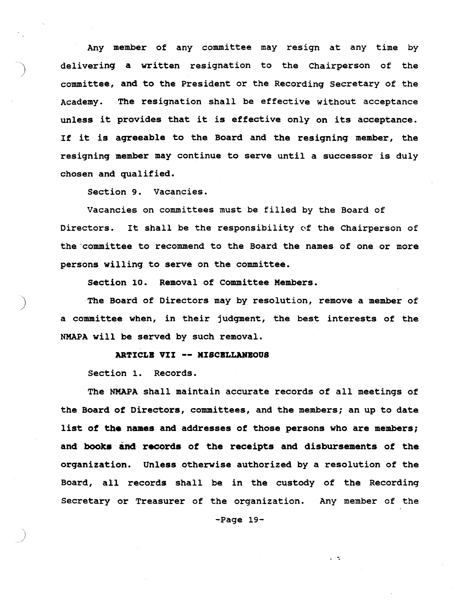Any member of any committee may resign at any time by delivering a written resignation to the Chairperson of the committee, and to the President or the Recording Secretary of the Academy. The resignation shall be effective without acceptance unless it provides that it is effective only on its acceptance. If it is agreeable to the Board and the resigning member, the resigning member may continue to serve until <sup>a</sup> successor is duly chosen and qualified.

Section 9. Vacancies.

Vacancies on committees must be filled by the Board of Directors. It shall be the responsibility of the Chairperson of the committee to recommend to the Board the names of one or more persons willing to serve on the committee.

section 10. Removal of Committee Members.

The Board of Directors may by resolution, remove a member of a committee when, in their jUdgment, the best interests of the NMAPA will be served by such removal.

#### ARTICLB VII -- MISCBLLANBOUS

section 1. Records.

The NMAPA shall maintain accurate records of all meetings of the Board of Directors, committees, and the members; an up to date list of the names and addresses of those persons who are members; and books and records of the receipts and disbursements of the organization. Unless otherwise authorized by a resolution of the Board, all records shall be in the custody of the Recording Secretary or Treasurer of the organization. Any member of the

-Page 19-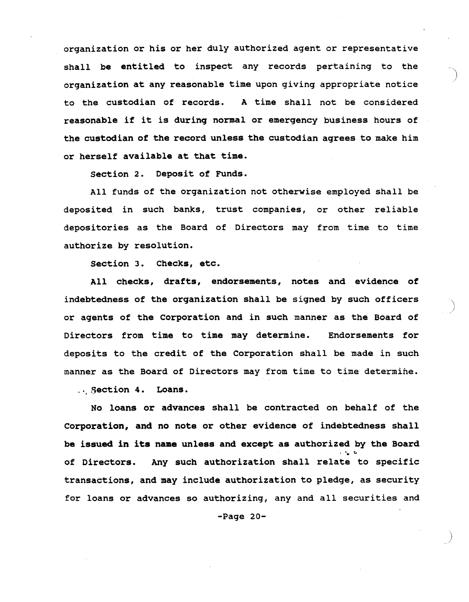organization or his or her duly authorized agent or representative shall be entitled to inspect any records pertaining to the organization at any reasonable time upon giving appropriate notice to the custodian of records. <sup>A</sup> time shall not be considered reasonable if it is during normal or emergency business hours of the custodian of the record unless the custodian agrees to make him or herself available at that time.

section 2. Deposit of Funds.

All funds of the organization not otherwise employed shall be deposited in such banks, trust companies, or other reliable depositories as the Board of Directors may from time to time authorize by resolution.

section 3. Checks, etc.

All checks, drafts, endorsements, notes and evidence of indebtedness of the organization shall be signed by such officers or agents of the Corporation and in such manner as the Board of Directors from time to time may determine. Endorsements for deposits to the credit of the corporation shall be made in such manner as the Board of Directors may from time to time determine .

``<br>)

.. Section 4. Loans.

No loans or advances shall be contracted on behalf of the corporation, and no note or other evidence of indebtedness shall be issued in its name unless and except as authorized by the Board of Directors. Any such authorization shall relate to specific transactions, and may include authorization to pledge, as security for loans or advances so authorizing, any and all securities and

 $-Page 20-$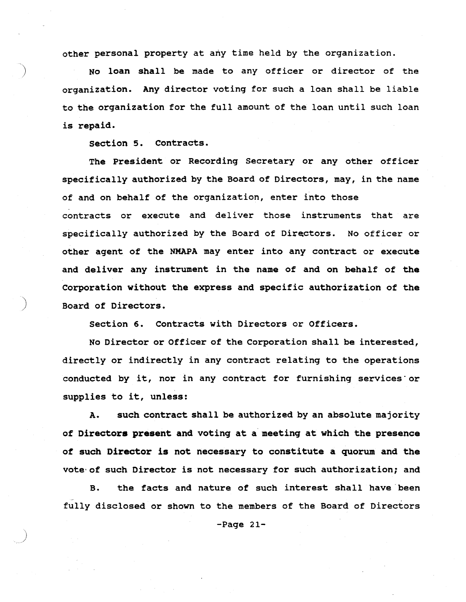other personal property at any time held by the organization.

No loan shall be made to any officer or director of the organization. Any director voting for such a loan shall be liable to the organization for the full amount of the loan until such loan is repaid.

section 5. Contracts.

The President or Recording Secretary or any other officer specifically authorized by the Board of Directors, may, in the name of and on behalf of the organization, enter into those contracts or execute and deliver those instruments that are specifically authorized by the Board of Directors. No officer or other agent of the NMAPA may enter into any contract or execute and deliver any instrument in the name of and on behalf of the Corporation without the express and specific authorization of the ) Board of Directors.

section 6. Contracts with Directors or Officers.

No Director or Officer of the Corporation shall be interested, directly or indirectly in any contract relating to the operations conducted by it, nor in any contract for furnishing services·or supplies to it, unless:

A. such contract shall be authorized by an absolute majority of Directors present and voting at a meeting at which the presence *ot* such Director is not necessary to constitute a quorum and the vote' of such Director is not necessary for such authorization; and

B. the facts and nature of such interest shall have been - fully disclosed or shown to the members of the Board of Directors

-Page 21-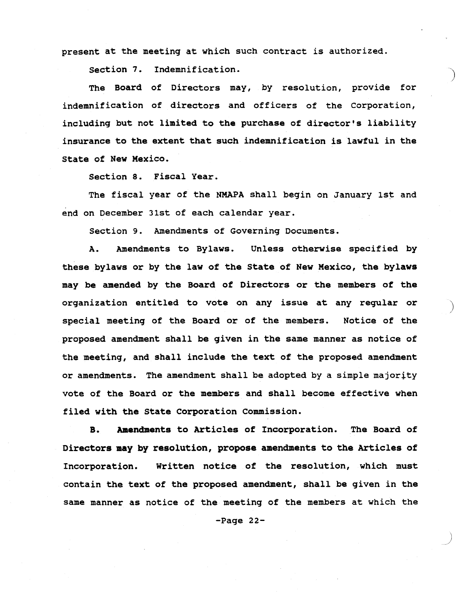present at the meeting at which such contract is authorized.

section 7. Indemnification.

The Board of Directors may, by resolution, provide for indemnification of directors and officers of the corporation, including but not limited to the purchase of director's liability insurance to the extent that such indemnification is lawful in the state of New Mexico.

section 8. Fiscal Year.

The fiscal year of the NMAPA shall begin on January 1st and end on December 31st of each calendar year.

section 9. Amendments of Governing Documents.

A. Amendments to Bylaws. Unless otherwise specified by these bylaws or by the law of the State of New Mexico, the bylaws may be amended by the Board of Directors or the members of the organization entitled to vote on any issue at any regular or special meeting of the Board or of the members. Notice of the proposed amendment shall be given in the same manner as notice of the meeting, and shall include the text of the proposed amendment or amendments. The amendment shall be adopted by a simple majority vote of the Board or the members and shall become effective when filed with the state Corporation commission.

)

B. Amendments to Articles of Incorporation. The Board of Directors may by resolution, propose amendments to the Articles of Incorporation. Written notice of the resolution, which must contain the text of the proposed amendment, shall be given in the same manner as notice of the meeting of the members at which the

-Page 22-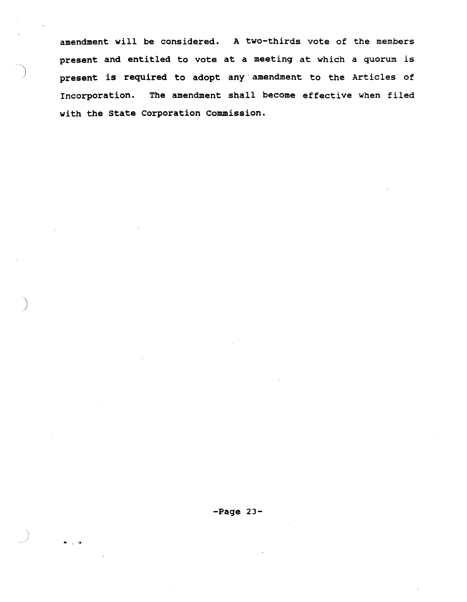amendment will be considered. A two-thirds vote of the members present and entitled to vote at <sup>a</sup> meeting at which <sup>a</sup> quorum is present is required to adopt any' amendment to the Articles of Incorporation. The amendment shall become effective when filed with the state Corporation commission.

)

.. . ~,